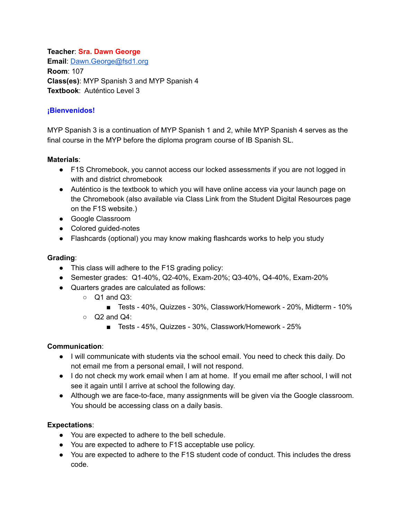**Teacher**: **Sra. Dawn George Email**: [Dawn.George@fsd1.org](mailto:Dawn.George@fsd1.org) **Room**: 107 **Class(es)**: MYP Spanish 3 and MYP Spanish 4 **Textbook**: Auténtico Level 3

# **¡Bienvenidos!**

MYP Spanish 3 is a continuation of MYP Spanish 1 and 2, while MYP Spanish 4 serves as the final course in the MYP before the diploma program course of IB Spanish SL.

#### **Materials**:

- F1S Chromebook, you cannot access our locked assessments if you are not logged in with and district chromebook
- Auténtico is the textbook to which you will have online access via your launch page on the Chromebook (also available via Class Link from the Student Digital Resources page on the F1S website.)
- Google Classroom
- Colored guided-notes
- Flashcards (optional) you may know making flashcards works to help you study

## **Grading**:

- This class will adhere to the F1S grading policy:
- Semester grades: Q1-40%, Q2-40%, Exam-20%; Q3-40%, Q4-40%, Exam-20%
- Quarters grades are calculated as follows:
	- $\circ$  Q1 and Q3:
		- Tests 40%, Quizzes 30%, Classwork/Homework 20%, Midterm 10%
	- $\circ$  Q2 and Q4:
		- Tests 45%, Quizzes 30%, Classwork/Homework 25%

## **Communication**:

- I will communicate with students via the school email. You need to check this daily. Do not email me from a personal email, I will not respond.
- I do not check my work email when I am at home. If you email me after school, I will not see it again until I arrive at school the following day.
- Although we are face-to-face, many assignments will be given via the Google classroom. You should be accessing class on a daily basis.

## **Expectations**:

- You are expected to adhere to the bell schedule.
- You are expected to adhere to F1S acceptable use policy.
- You are expected to adhere to the F1S student code of conduct. This includes the dress code.